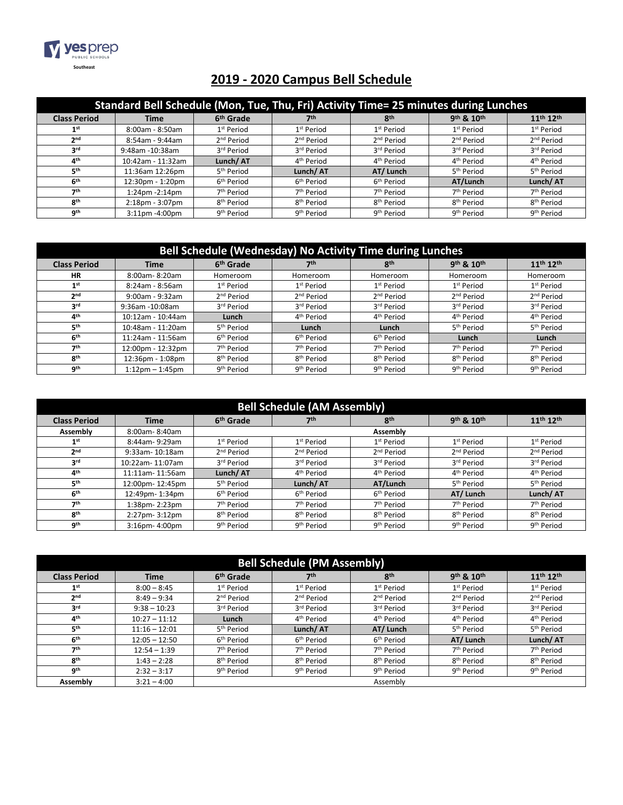

## **2019 - 2020 Campus Bell Schedule**

| Standard Bell Schedule (Mon, Tue, Thu, Fri) Activity Time= 25 minutes during Lunches |                       |                        |                        |                        |                        |                                   |
|--------------------------------------------------------------------------------------|-----------------------|------------------------|------------------------|------------------------|------------------------|-----------------------------------|
| <b>Class Period</b>                                                                  | Time                  | 6 <sup>th</sup> Grade  | 7th                    | <b>gth</b>             | 9th & 10th             | 11 <sup>th</sup> 12 <sup>th</sup> |
| 1 <sup>st</sup>                                                                      | 8:00am - 8:50am       | 1 <sup>st</sup> Period | 1 <sup>st</sup> Period | 1 <sup>st</sup> Period | 1 <sup>st</sup> Period | 1 <sup>st</sup> Period            |
| 2 <sub>nd</sub>                                                                      | 8:54am - 9:44am       | 2 <sup>nd</sup> Period | 2 <sup>nd</sup> Period | 2 <sup>nd</sup> Period | 2 <sup>nd</sup> Period | 2 <sup>nd</sup> Period            |
| <b>2rd</b>                                                                           | 9:48am -10:38am       | 3 <sup>rd</sup> Period | 3rd Period             | 3rd Period             | 3rd Period             | 3rd Period                        |
| 4 <sup>th</sup>                                                                      | 10:42am - 11:32am     | Lunch/AT               | 4 <sup>th</sup> Period | 4 <sup>th</sup> Period | 4 <sup>th</sup> Period | 4 <sup>th</sup> Period            |
| 5 <sup>th</sup>                                                                      | 11:36am 12:26pm       | 5 <sup>th</sup> Period | Lunch/AT               | AT/Lunch               | 5 <sup>th</sup> Period | 5 <sup>th</sup> Period            |
| 6 <sup>th</sup>                                                                      | 12:30pm - 1:20pm      | 6 <sup>th</sup> Period | 6 <sup>th</sup> Period | 6 <sup>th</sup> Period | AT/Lunch               | Lunch/AT                          |
| 7th                                                                                  | 1:24pm - 2:14pm       | 7 <sup>th</sup> Period | 7 <sup>th</sup> Period | 7 <sup>th</sup> Period | 7 <sup>th</sup> Period | 7 <sup>th</sup> Period            |
| 8 <sup>th</sup>                                                                      | $2:18$ pm - $3:07$ pm | 8 <sup>th</sup> Period | 8 <sup>th</sup> Period | 8 <sup>th</sup> Period | 8 <sup>th</sup> Period | 8 <sup>th</sup> Period            |
| <b>gth</b>                                                                           | $3:11$ pm $-4:00$ pm  | 9 <sup>th</sup> Period | 9 <sup>th</sup> Period | 9 <sup>th</sup> Period | 9 <sup>th</sup> Period | 9 <sup>th</sup> Period            |

| Bell Schedule (Wednesday) No Activity Time during Lunches |                      |                        |                        |                        |                        |                                   |
|-----------------------------------------------------------|----------------------|------------------------|------------------------|------------------------|------------------------|-----------------------------------|
| <b>Class Period</b>                                       | <b>Time</b>          | 6 <sup>th</sup> Grade  | 7th                    | <b>gth</b>             | 9th & 10th             | 11 <sup>th</sup> 12 <sup>th</sup> |
| HR                                                        | 8:00am-8:20am        | Homeroom               | Homeroom               | Homeroom               | Homeroom               | Homeroom                          |
| 1 <sup>st</sup>                                           | $8:24am - 8:56am$    | 1 <sup>st</sup> Period | 1 <sup>st</sup> Period | 1 <sup>st</sup> Period | 1 <sup>st</sup> Period | 1 <sup>st</sup> Period            |
| 2 <sub>nd</sub>                                           | 9:00am - 9:32am      | 2 <sup>nd</sup> Period | 2 <sup>nd</sup> Period | 2 <sup>nd</sup> Period | 2 <sup>nd</sup> Period | 2 <sup>nd</sup> Period            |
| 3 <sup>rd</sup>                                           | 9:36am -10:08am      | 3rd Period             | 3rd Period             | 3rd Period             | 3rd Period             | 3rd Period                        |
| 4 <sup>th</sup>                                           | 10:12am - 10:44am    | Lunch                  | 4 <sup>th</sup> Period | 4 <sup>th</sup> Period | 4 <sup>th</sup> Period | 4 <sup>th</sup> Period            |
| 5 <sup>th</sup>                                           | 10:48am - 11:20am    | 5 <sup>th</sup> Period | Lunch                  | Lunch                  | 5 <sup>th</sup> Period | 5 <sup>th</sup> Period            |
| 6 <sup>th</sup>                                           | 11:24am - 11:56am    | 6 <sup>th</sup> Period | 6 <sup>th</sup> Period | 6 <sup>th</sup> Period | Lunch                  | Lunch                             |
| 7 <sup>th</sup>                                           | 12:00pm - 12:32pm    | 7 <sup>th</sup> Period | 7 <sup>th</sup> Period | 7 <sup>th</sup> Period | 7 <sup>th</sup> Period | 7 <sup>th</sup> Period            |
| <b>gth</b>                                                | 12:36pm - 1:08pm     | 8 <sup>th</sup> Period | 8 <sup>th</sup> Period | 8 <sup>th</sup> Period | 8 <sup>th</sup> Period | 8 <sup>th</sup> Period            |
| gth                                                       | $1:12$ pm $-1:45$ pm | 9 <sup>th</sup> Period | 9 <sup>th</sup> Period | 9 <sup>th</sup> Period | 9 <sup>th</sup> Period | 9 <sup>th</sup> Period            |

| <b>Bell Schedule (AM Assembly)</b> |                 |                        |                        |                        |                        |                                   |
|------------------------------------|-----------------|------------------------|------------------------|------------------------|------------------------|-----------------------------------|
| <b>Class Period</b>                | <b>Time</b>     | 6 <sup>th</sup> Grade  | 7 <sup>th</sup>        | 8 <sup>th</sup>        | 9th & 10th             | 11 <sup>th</sup> 12 <sup>th</sup> |
| Assembly                           | 8:00am-8:40am   |                        | Assembly               |                        |                        |                                   |
| 1 <sup>st</sup>                    | 8:44am-9:29am   | 1 <sup>st</sup> Period | 1 <sup>st</sup> Period | 1 <sup>st</sup> Period | 1 <sup>st</sup> Period | 1 <sup>st</sup> Period            |
| 2 <sup>nd</sup>                    | 9:33am-10:18am  | 2 <sup>nd</sup> Period | 2 <sup>nd</sup> Period | 2 <sup>nd</sup> Period | 2 <sup>nd</sup> Period | 2 <sup>nd</sup> Period            |
| 3 <sup>rd</sup>                    | 10:22am-11:07am | 3rd Period             | 3 <sup>rd</sup> Period | 3rd Period             | 3rd Period             | 3 <sup>rd</sup> Period            |
| 4 <sup>th</sup>                    | 11:11am-11:56am | Lunch/AT               | 4 <sup>th</sup> Period | 4 <sup>th</sup> Period | 4 <sup>th</sup> Period | 4 <sup>th</sup> Period            |
| 5 <sup>th</sup>                    | 12:00pm-12:45pm | 5 <sup>th</sup> Period | Lunch/AT               | AT/Lunch               | 5 <sup>th</sup> Period | 5 <sup>th</sup> Period            |
| 6 <sup>th</sup>                    | 12:49pm-1:34pm  | 6 <sup>th</sup> Period | 6 <sup>th</sup> Period | 6 <sup>th</sup> Period | AT/Lunch               | Lunch/AT                          |
| 7 <sup>th</sup>                    | 1:38pm-2:23pm   | 7 <sup>th</sup> Period | 7 <sup>th</sup> Period | 7 <sup>th</sup> Period | 7 <sup>th</sup> Period | 7 <sup>th</sup> Period            |
| 8 <sup>th</sup>                    | 2:27pm-3:12pm   | 8 <sup>th</sup> Period | 8 <sup>th</sup> Period | 8 <sup>th</sup> Period | 8 <sup>th</sup> Period | 8 <sup>th</sup> Period            |
| <b>gth</b>                         | 3:16pm-4:00pm   | 9 <sup>th</sup> Period | 9 <sup>th</sup> Period | 9 <sup>th</sup> Period | 9 <sup>th</sup> Period | 9 <sup>th</sup> Period            |

| <b>Bell Schedule (PM Assembly)</b> |                 |                        |                        |                        |                        |                                   |
|------------------------------------|-----------------|------------------------|------------------------|------------------------|------------------------|-----------------------------------|
| <b>Class Period</b>                | <b>Time</b>     | 6 <sup>th</sup> Grade  | 7 <sup>th</sup>        | 8 <sup>th</sup>        | 9th & 10th             | 11 <sup>th</sup> 12 <sup>th</sup> |
| 1 <sup>st</sup>                    | $8:00 - 8:45$   | 1 <sup>st</sup> Period | 1 <sup>st</sup> Period | 1 <sup>st</sup> Period | 1 <sup>st</sup> Period | 1 <sup>st</sup> Period            |
| 2 <sub>nd</sub>                    | $8:49 - 9:34$   | 2 <sup>nd</sup> Period | 2 <sup>nd</sup> Period | 2 <sup>nd</sup> Period | 2 <sup>nd</sup> Period | 2 <sup>nd</sup> Period            |
| 3 <sup>rd</sup>                    | $9:38 - 10:23$  | 3rd Period             | 3 <sup>rd</sup> Period | 3rd Period             | 3rd Period             | 3rd Period                        |
| 4 <sup>th</sup>                    | $10:27 - 11:12$ | Lunch                  | 4 <sup>th</sup> Period | 4 <sup>th</sup> Period | 4 <sup>th</sup> Period | 4 <sup>th</sup> Period            |
| 5 <sup>th</sup>                    | $11:16 - 12:01$ | 5 <sup>th</sup> Period | Lunch/AT               | AT/Lunch               | 5 <sup>th</sup> Period | 5 <sup>th</sup> Period            |
| 6 <sup>th</sup>                    | $12:05 - 12:50$ | 6 <sup>th</sup> Period | 6 <sup>th</sup> Period | 6 <sup>th</sup> Period | AT/Lunch               | Lunch/AT                          |
| 7 <sup>th</sup>                    | $12:54 - 1:39$  | 7 <sup>th</sup> Period | 7 <sup>th</sup> Period | 7 <sup>th</sup> Period | 7 <sup>th</sup> Period | 7 <sup>th</sup> Period            |
| <b>gth</b>                         | $1:43 - 2:28$   | 8 <sup>th</sup> Period | 8 <sup>th</sup> Period | 8 <sup>th</sup> Period | 8 <sup>th</sup> Period | 8 <sup>th</sup> Period            |
| gth                                | $2:32 - 3:17$   | 9 <sup>th</sup> Period | 9 <sup>th</sup> Period | 9 <sup>th</sup> Period | 9 <sup>th</sup> Period | 9 <sup>th</sup> Period            |
| Assembly                           | $3:21 - 4:00$   |                        |                        | Assembly               |                        |                                   |